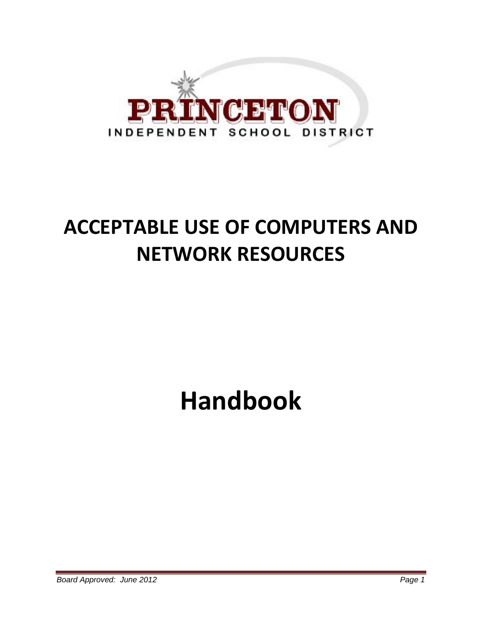

## **ACCEPTABLE USE OF COMPUTERS AND NETWORK RESOURCES**

# **Handbook**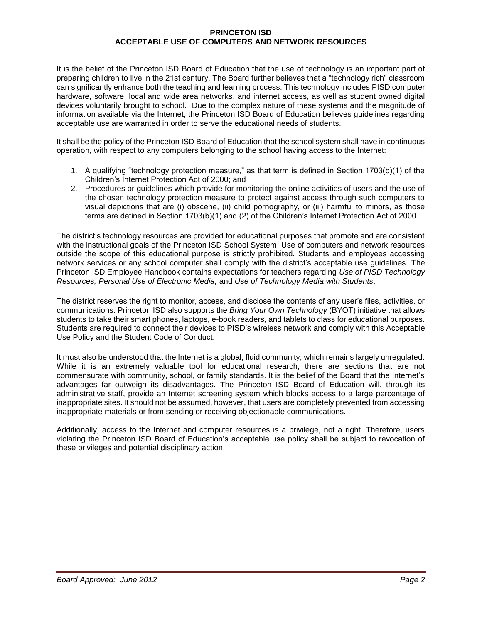#### **PRINCETON ISD ACCEPTABLE USE OF COMPUTERS AND NETWORK RESOURCES**

It is the belief of the Princeton ISD Board of Education that the use of technology is an important part of preparing children to live in the 21st century. The Board further believes that a "technology rich" classroom can significantly enhance both the teaching and learning process. This technology includes PISD computer hardware, software, local and wide area networks, and internet access, as well as student owned digital devices voluntarily brought to school. Due to the complex nature of these systems and the magnitude of information available via the Internet, the Princeton ISD Board of Education believes guidelines regarding acceptable use are warranted in order to serve the educational needs of students.

It shall be the policy of the Princeton ISD Board of Education that the school system shall have in continuous operation, with respect to any computers belonging to the school having access to the Internet:

- 1. A qualifying "technology protection measure," as that term is defined in Section 1703(b)(1) of the Children's Internet Protection Act of 2000; and
- 2. Procedures or guidelines which provide for monitoring the online activities of users and the use of the chosen technology protection measure to protect against access through such computers to visual depictions that are (i) obscene, (ii) child pornography, or (iii) harmful to minors, as those terms are defined in Section 1703(b)(1) and (2) of the Children's Internet Protection Act of 2000.

The district's technology resources are provided for educational purposes that promote and are consistent with the instructional goals of the Princeton ISD School System. Use of computers and network resources outside the scope of this educational purpose is strictly prohibited. Students and employees accessing network services or any school computer shall comply with the district's acceptable use guidelines. The Princeton ISD Employee Handbook contains expectations for teachers regarding *Use of PISD Technology Resources, Personal Use of Electronic Media,* and *Use of Technology Media with Students*.

The district reserves the right to monitor, access, and disclose the contents of any user's files, activities, or communications. Princeton ISD also supports the *Bring Your Own Technology* (BYOT) initiative that allows students to take their smart phones, laptops, e-book readers, and tablets to class for educational purposes. Students are required to connect their devices to PISD's wireless network and comply with this Acceptable Use Policy and the Student Code of Conduct.

It must also be understood that the Internet is a global, fluid community, which remains largely unregulated. While it is an extremely valuable tool for educational research, there are sections that are not commensurate with community, school, or family standards. It is the belief of the Board that the Internet's advantages far outweigh its disadvantages. The Princeton ISD Board of Education will, through its administrative staff, provide an Internet screening system which blocks access to a large percentage of inappropriate sites. It should not be assumed, however, that users are completely prevented from accessing inappropriate materials or from sending or receiving objectionable communications.

Additionally, access to the Internet and computer resources is a privilege, not a right. Therefore, users violating the Princeton ISD Board of Education's acceptable use policy shall be subject to revocation of these privileges and potential disciplinary action.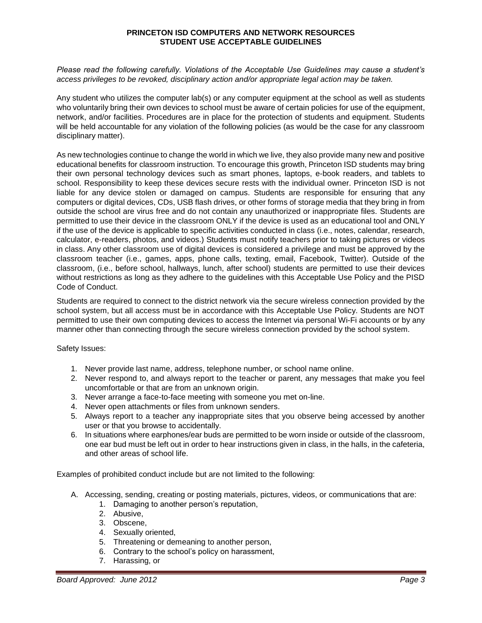#### **PRINCETON ISD COMPUTERS AND NETWORK RESOURCES STUDENT USE ACCEPTABLE GUIDELINES**

*Please read the following carefully. Violations of the Acceptable Use Guidelines may cause a student's access privileges to be revoked, disciplinary action and/or appropriate legal action may be taken.*

Any student who utilizes the computer lab(s) or any computer equipment at the school as well as students who voluntarily bring their own devices to school must be aware of certain policies for use of the equipment, network, and/or facilities. Procedures are in place for the protection of students and equipment. Students will be held accountable for any violation of the following policies (as would be the case for any classroom disciplinary matter).

As new technologies continue to change the world in which we live, they also provide many new and positive educational benefits for classroom instruction. To encourage this growth, Princeton ISD students may bring their own personal technology devices such as smart phones, laptops, e-book readers, and tablets to school. Responsibility to keep these devices secure rests with the individual owner. Princeton ISD is not liable for any device stolen or damaged on campus. Students are responsible for ensuring that any computers or digital devices, CDs, USB flash drives, or other forms of storage media that they bring in from outside the school are virus free and do not contain any unauthorized or inappropriate files. Students are permitted to use their device in the classroom ONLY if the device is used as an educational tool and ONLY if the use of the device is applicable to specific activities conducted in class (i.e., notes, calendar, research, calculator, e-readers, photos, and videos.) Students must notify teachers prior to taking pictures or videos in class. Any other classroom use of digital devices is considered a privilege and must be approved by the classroom teacher (i.e., games, apps, phone calls, texting, email, Facebook, Twitter). Outside of the classroom, (i.e., before school, hallways, lunch, after school) students are permitted to use their devices without restrictions as long as they adhere to the guidelines with this Acceptable Use Policy and the PISD Code of Conduct.

Students are required to connect to the district network via the secure wireless connection provided by the school system, but all access must be in accordance with this Acceptable Use Policy. Students are NOT permitted to use their own computing devices to access the Internet via personal Wi-Fi accounts or by any manner other than connecting through the secure wireless connection provided by the school system.

Safety Issues:

- 1. Never provide last name, address, telephone number, or school name online.
- 2. Never respond to, and always report to the teacher or parent, any messages that make you feel uncomfortable or that are from an unknown origin.
- 3. Never arrange a face-to-face meeting with someone you met on-line.
- 4. Never open attachments or files from unknown senders.
- 5. Always report to a teacher any inappropriate sites that you observe being accessed by another user or that you browse to accidentally.
- 6. In situations where earphones/ear buds are permitted to be worn inside or outside of the classroom, one ear bud must be left out in order to hear instructions given in class, in the halls, in the cafeteria, and other areas of school life.

Examples of prohibited conduct include but are not limited to the following:

- A. Accessing, sending, creating or posting materials, pictures, videos, or communications that are:
	- 1. Damaging to another person's reputation,
	- 2. Abusive,
	- 3. Obscene,
	- 4. Sexually oriented,
	- 5. Threatening or demeaning to another person,
	- 6. Contrary to the school's policy on harassment,
	- 7. Harassing, or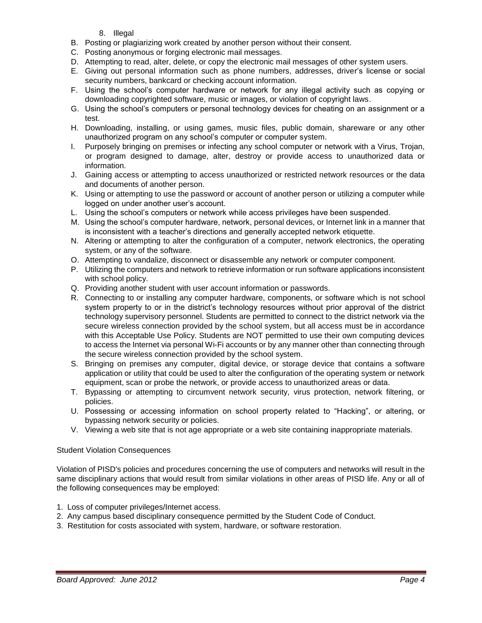- 8. Illegal
- B. Posting or plagiarizing work created by another person without their consent.
- C. Posting anonymous or forging electronic mail messages.
- D. Attempting to read, alter, delete, or copy the electronic mail messages of other system users.
- E. Giving out personal information such as phone numbers, addresses, driver's license or social security numbers, bankcard or checking account information.
- F. Using the school's computer hardware or network for any illegal activity such as copying or downloading copyrighted software, music or images, or violation of copyright laws.
- G. Using the school's computers or personal technology devices for cheating on an assignment or a test.
- H. Downloading, installing, or using games, music files, public domain, shareware or any other unauthorized program on any school's computer or computer system.
- I. Purposely bringing on premises or infecting any school computer or network with a Virus, Trojan, or program designed to damage, alter, destroy or provide access to unauthorized data or information.
- J. Gaining access or attempting to access unauthorized or restricted network resources or the data and documents of another person.
- K. Using or attempting to use the password or account of another person or utilizing a computer while logged on under another user's account.
- L. Using the school's computers or network while access privileges have been suspended.
- M. Using the school's computer hardware, network, personal devices, or Internet link in a manner that is inconsistent with a teacher's directions and generally accepted network etiquette.
- N. Altering or attempting to alter the configuration of a computer, network electronics, the operating system, or any of the software.
- O. Attempting to vandalize, disconnect or disassemble any network or computer component.
- P. Utilizing the computers and network to retrieve information or run software applications inconsistent with school policy.
- Q. Providing another student with user account information or passwords.
- R. Connecting to or installing any computer hardware, components, or software which is not school system property to or in the district's technology resources without prior approval of the district technology supervisory personnel. Students are permitted to connect to the district network via the secure wireless connection provided by the school system, but all access must be in accordance with this Acceptable Use Policy. Students are NOT permitted to use their own computing devices to access the Internet via personal Wi-Fi accounts or by any manner other than connecting through the secure wireless connection provided by the school system.
- S. Bringing on premises any computer, digital device, or storage device that contains a software application or utility that could be used to alter the configuration of the operating system or network equipment, scan or probe the network, or provide access to unauthorized areas or data.
- T. Bypassing or attempting to circumvent network security, virus protection, network filtering, or policies.
- U. Possessing or accessing information on school property related to "Hacking", or altering, or bypassing network security or policies.
- V. Viewing a web site that is not age appropriate or a web site containing inappropriate materials.

### Student Violation Consequences

Violation of PISD's policies and procedures concerning the use of computers and networks will result in the same disciplinary actions that would result from similar violations in other areas of PISD life. Any or all of the following consequences may be employed:

- 1. Loss of computer privileges/Internet access.
- 2. Any campus based disciplinary consequence permitted by the Student Code of Conduct.
- 3. Restitution for costs associated with system, hardware, or software restoration.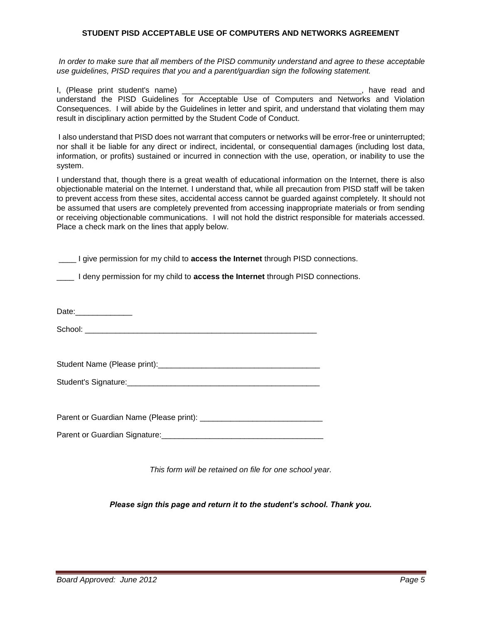#### **STUDENT PISD ACCEPTABLE USE OF COMPUTERS AND NETWORKS AGREEMENT**

*In order to make sure that all members of the PISD community understand and agree to these acceptable use guidelines, PISD requires that you and a parent/guardian sign the following statement.* 

I, (Please print student's name) **Example 2** and the study of the study of the study of the study of the study of the study of the study of the study of the study of the study of the study of the study of the study of the understand the PISD Guidelines for Acceptable Use of Computers and Networks and Violation Consequences. I will abide by the Guidelines in letter and spirit, and understand that violating them may result in disciplinary action permitted by the Student Code of Conduct.

I also understand that PISD does not warrant that computers or networks will be error-free or uninterrupted; nor shall it be liable for any direct or indirect, incidental, or consequential damages (including lost data, information, or profits) sustained or incurred in connection with the use, operation, or inability to use the system.

I understand that, though there is a great wealth of educational information on the Internet, there is also objectionable material on the Internet. I understand that, while all precaution from PISD staff will be taken to prevent access from these sites, accidental access cannot be guarded against completely. It should not be assumed that users are completely prevented from accessing inappropriate materials or from sending or receiving objectionable communications. I will not hold the district responsible for materials accessed. Place a check mark on the lines that apply below.

\_\_\_\_ I deny permission for my child to **access the Internet** through PISD connections.

Date:

School: \_\_\_\_\_\_\_\_\_\_\_\_\_\_\_\_\_\_\_\_\_\_\_\_\_\_\_\_\_\_\_\_\_\_\_\_\_\_\_\_\_\_\_\_\_\_\_\_\_\_\_\_\_

Student Name (Please print):

Student's Signature:

Parent or Guardian Name (Please print): \_\_\_\_\_\_\_\_\_\_\_\_\_\_\_\_\_\_\_\_\_\_\_\_\_\_\_\_

Parent or Guardian Signature: **Example 2018** 

*This form will be retained on file for one school year.*

*Please sign this page and return it to the student's school. Thank you.*